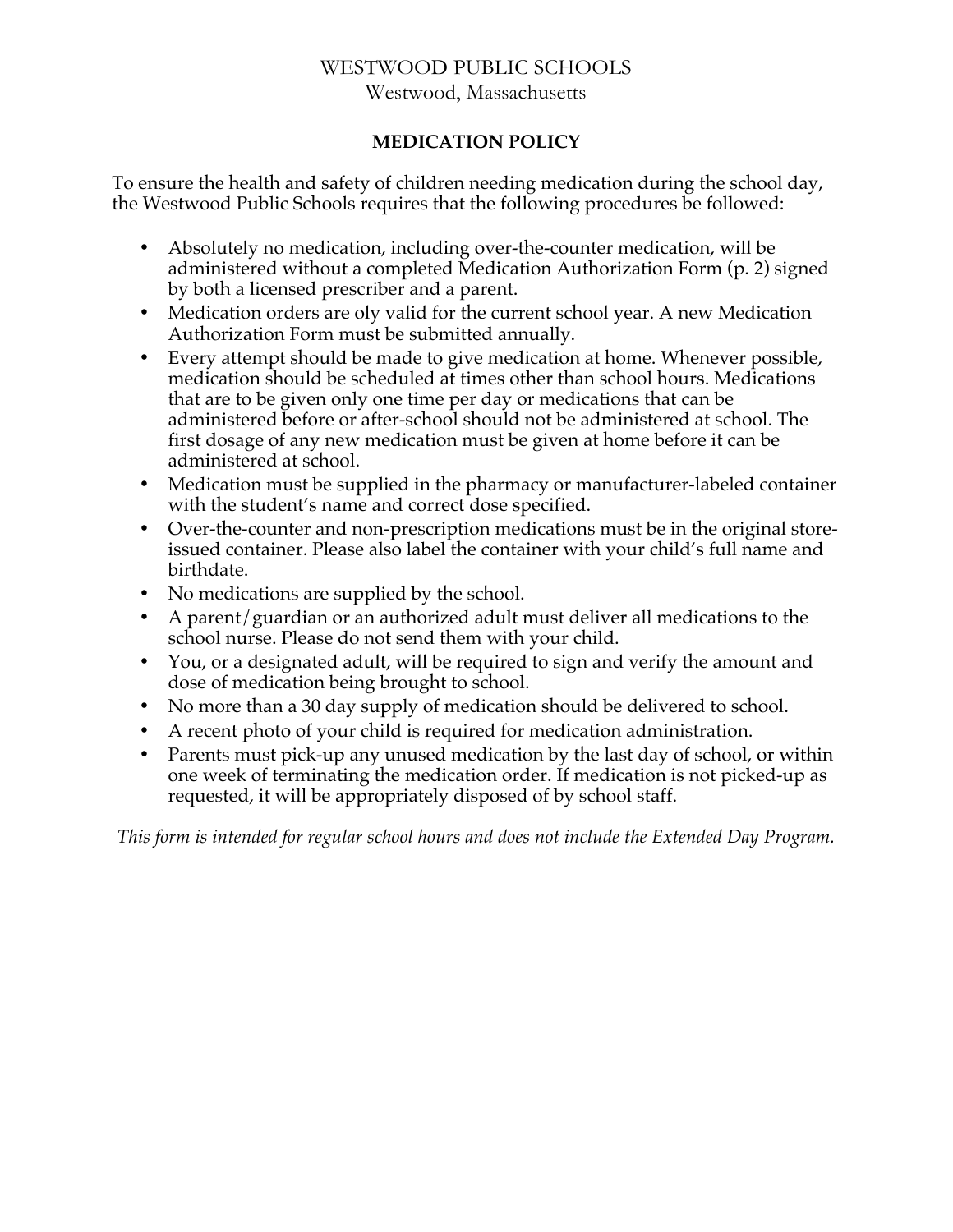## WESTWOOD PUBLIC SCHOOLS Westwood, Massachusetts

## **MEDICATION POLICY**

To ensure the health and safety of children needing medication during the school day, the Westwood Public Schools requires that the following procedures be followed:

- Absolutely no medication, including over-the-counter medication, will be administered without a completed Medication Authorization Form (p. 2) signed by both a licensed prescriber and a parent.
- Medication orders are oly valid for the current school year. A new Medication Authorization Form must be submitted annually.
- Every attempt should be made to give medication at home. Whenever possible, medication should be scheduled at times other than school hours. Medications that are to be given only one time per day or medications that can be administered before or after-school should not be administered at school. The first dosage of any new medication must be given at home before it can be administered at school.
- Medication must be supplied in the pharmacy or manufacturer-labeled container with the student's name and correct dose specified.
- Over-the-counter and non-prescription medications must be in the original storeissued container. Please also label the container with your child's full name and birthdate.
- No medications are supplied by the school.
- A parent/guardian or an authorized adult must deliver all medications to the school nurse. Please do not send them with your child.
- You, or a designated adult, will be required to sign and verify the amount and dose of medication being brought to school.
- No more than a 30 day supply of medication should be delivered to school.
- A recent photo of your child is required for medication administration.
- Parents must pick-up any unused medication by the last day of school, or within one week of terminating the medication order. If medication is not picked-up as requested, it will be appropriately disposed of by school staff.

*This form is intended for regular school hours and does not include the Extended Day Program.*